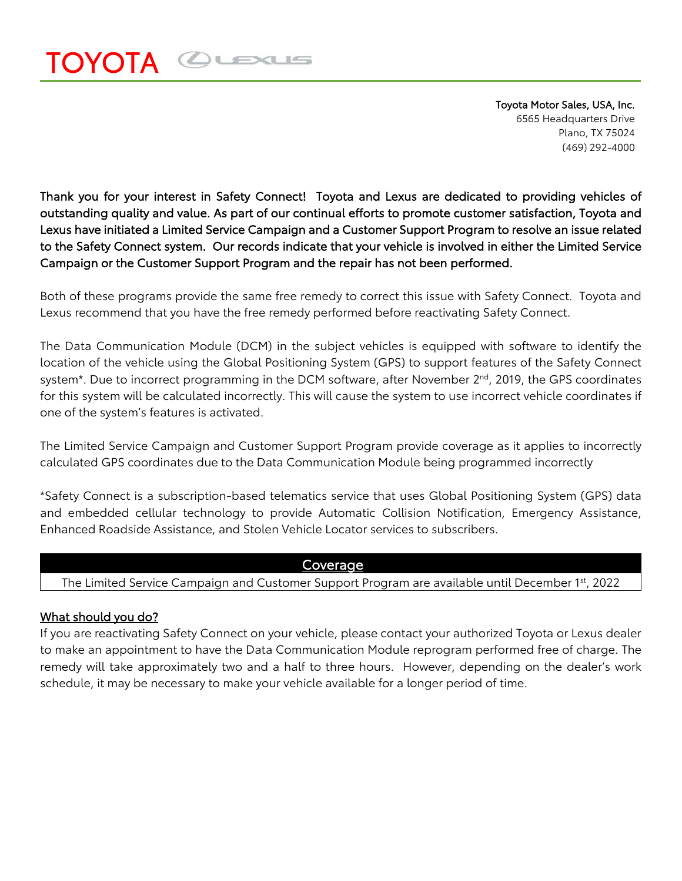## OUEXUS  $\blacksquare$

Toyota Motor Sales, USA, Inc. 6565 Headquarters Drive Plano, TX 75024 (469) 292-4000

Thank you for your interest in Safety Connect! Toyota and Lexus are dedicated to providing vehicles of outstanding quality and value. As part of our continual efforts to promote customer satisfaction, Toyota and Lexus have initiated a Limited Service Campaign and a Customer Support Program to resolve an issue related to the Safety Connect system. Our records indicate that your vehicle is involved in either the Limited Service Campaign or the Customer Support Program and the repair has not been performed.

Both of these programs provide the same free remedy to correct this issue with Safety Connect. Toyota and Lexus recommend that you have the free remedy performed before reactivating Safety Connect.

The Data Communication Module (DCM) in the subject vehicles is equipped with software to identify the location of the vehicle using the Global Positioning System (GPS) to support features of the Safety Connect system<sup>\*</sup>. Due to incorrect programming in the DCM software, after November 2<sup>nd</sup>, 2019, the GPS coordinates for this system will be calculated incorrectly. This will cause the system to use incorrect vehicle coordinates if one of the system's features is activated.

The Limited Service Campaign and Customer Support Program provide coverage as it applies to incorrectly calculated GPS coordinates due to the Data Communication Module being programmed incorrectly

\*Safety Connect is a subscription-based telematics service that uses Global Positioning System (GPS) data and embedded cellular technology to provide Automatic Collision Notification, Emergency Assistance, Enhanced Roadside Assistance, and Stolen Vehicle Locator services to subscribers.

## Coverage

The Limited Service Campaign and Customer Support Program are available until December 1st, 2022

## What should you do?

If you are reactivating Safety Connect on your vehicle, please contact your authorized Toyota or Lexus dealer to make an appointment to have the Data Communication Module reprogram performed free of charge. The remedy will take approximately two and a half to three hours. However, depending on the dealer's work schedule, it may be necessary to make your vehicle available for a longer period of time.